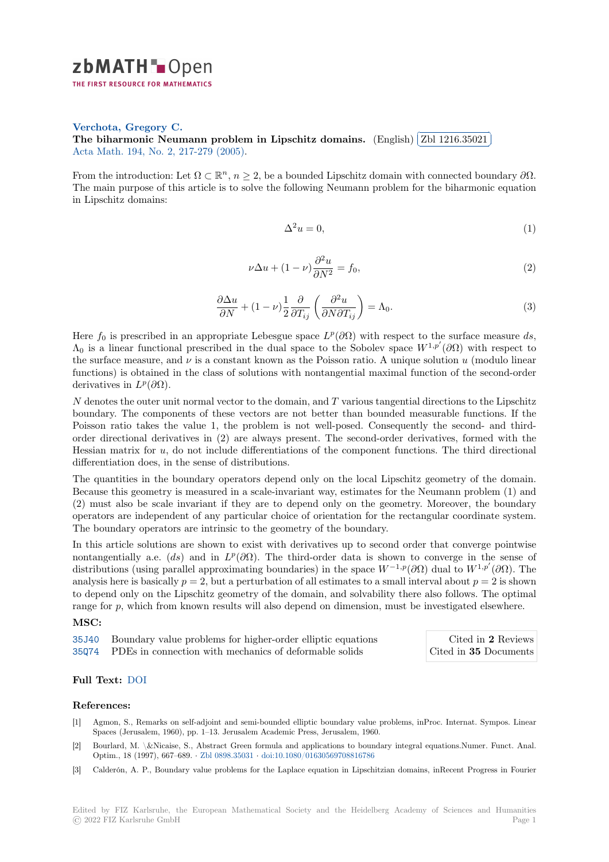

**Verchota, Gregory C.**

**[T](https://zbmath.org/)he biharmonic Neumann problem in Lipschitz domains.** (English) ✂ Zbl 1216.35021 Acta Math. 194, No. 2, 217-279 (2005).

[From the introduction: Le](https://zbmath.org/authors/?q=ai:verchota.gregory-c)t  $\Omega \subset \mathbb{R}^n$ ,  $n \geq 2$ , be a bounded Lipschitz domain with connected boundary  $\partial \Omega$ . [The main purpose of this article is to solve the following Neumann](https://zbmath.org/1216.35021) problemf[or the biharmonic](https://zbmath.org/1216.35021) equation [in Lipschitz](https://zbmath.org/journals/?q=se:282) [domains:](https://zbmath.org/?q=in:125233)

$$
\Delta^2 u = 0,\tag{1}
$$

i. ✁

$$
\nu \Delta u + (1 - \nu) \frac{\partial^2 u}{\partial N^2} = f_0,
$$
\n(2)

$$
\frac{\partial \Delta u}{\partial N} + (1 - \nu) \frac{1}{2} \frac{\partial}{\partial T_{ij}} \left( \frac{\partial^2 u}{\partial N \partial T_{ij}} \right) = \Lambda_0.
$$
\n(3)

Here  $f_0$  is prescribed in an appropriate Lebesgue space  $L^p(\partial\Omega)$  with respect to the surface measure ds,  $Λ_0$  is a linear functional prescribed in the dual space to the Sobolev space  $W^{1,p'}(∂Ω)$  with respect to the surface measure, and  $\nu$  is a constant known as the Poisson ratio. A unique solution  $u$  (modulo linear functions) is obtained in the class of solutions with nontangential maximal function of the second-order derivatives in  $L^p(\partial\Omega)$ .

*N* denotes the outer unit normal vector to the domain, and *T* various tangential directions to the Lipschitz boundary. The components of these vectors are not better than bounded measurable functions. If the Poisson ratio takes the value 1, the problem is not well-posed. Consequently the second- and thirdorder directional derivatives in (2) are always present. The second-order derivatives, formed with the Hessian matrix for *u*, do not include differentiations of the component functions. The third directional differentiation does, in the sense of distributions.

The quantities in the boundary operators depend only on the local Lipschitz geometry of the domain. Because this geometry is measured in a scale-invariant way, estimates for the Neumann problem (1) and (2) must also be scale invariant if they are to depend only on the geometry. Moreover, the boundary operators are independent of any particular choice of orientation for the rectangular coordinate system. The boundary operators are intrinsic to the geometry of the boundary.

In this article solutions are shown to exist with derivatives up to second order that converge pointwise nontangentially a.e. (*ds*) and in  $L^p(\partial\Omega)$ . The third-order data is shown to converge in the sense of distributions (using parallel approximating boundaries) in the space *W−*1*,p*(*∂*Ω) dual to *W*1*,p′* (*∂*Ω). The analysis here is basically  $p = 2$ , but a perturbation of all estimates to a small interval about  $p = 2$  is shown to depend only on the Lipschitz geometry of the domain, and solvability there also follows. The optimal range for p, which from known results will also depend on dimension, must be investigated elsewhere.

## **MSC:**

35J40 Boundary value problems for higher-order elliptic equations

35Q74 PDEs in connection with mechanics of deformable solids

Cited in **2** Reviews Cited in **35** Documents

## **[Full T](https://zbmath.org/classification/?q=cc:35J40)ext:** DOI

## **[Refer](https://zbmath.org/classification/?q=cc:35Q74)ences:**

- [1] Agmon, S., Remarks on self-adjoint and semi-bounded elliptic boundary value problems, inProc. Internat. Sympos. Linear Spaces (J[erusal](https://dx.doi.org/10.1007/BF02393222)em, 1960), pp. 1–13. Jerusalem Academic Press, Jerusalem, 1960.
- [2] Bourlard, M. \&Nicaise, S., Abstract Green formula and applications to boundary integral equations.Numer. Funct. Anal. Optim., 18 (1997), 667–689. *·* Zbl 0898.35031 *·* doi:10.1080/01630569708816786
- [3] Calderón, A. P., Boundary value problems for the Laplace equation in Lipschitzian domains, inRecent Progress in Fourier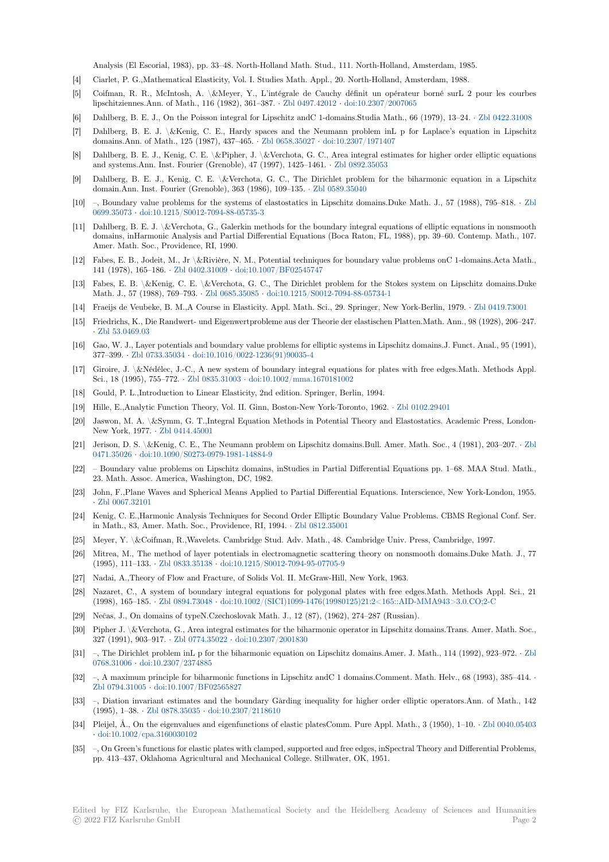Analysis (El Escorial, 1983), pp. 33–48. North-Holland Math. Stud., 111. North-Holland, Amsterdam, 1985.

- [4] Ciarlet, P. G.,Mathematical Elasticity, Vol. I. Studies Math. Appl., 20. North-Holland, Amsterdam, 1988.
- [5] Coifman, R. R., McIntosh, A. \&Meyer, Y., L'intégrale de Cauchy définit un opérateur borné surL 2 pour les courbes lipschitziennes.Ann. of Math., 116 (1982), 361–387. *·* Zbl 0497.42012 *·* doi:10.2307/2007065
- [6] Dahlberg, B. E. J., On the Poisson integral for Lipschitz andC 1-domains.Studia Math., 66 (1979), 13–24. *·* Zbl 0422.31008
- [7] Dahlberg, B. E. J. \&Kenig, C. E., Hardy spaces and the Neumann problem inL p for Laplace's equation in Lipschitz domains.Ann. of Math., 125 (1987), 437–465. *·* Zbl 0658.35027 *·* doi:10.2307/1971407
- [8] Dahlberg, B. E. J., Kenig, C. E. \&Pipher, J. \&Ver[chota, G. C., A](https://zbmath.org/0497.42012)re[a integral estimates f](https://dx.doi.org/10.2307/2007065)or higher order elliptic equations and systems.Ann. Inst. Fourier (Grenoble), 47 (1997), 1425–1461. *·* Zbl 0892.35053
- [9] Dahlberg, B. E. J., Kenig, C. E. \&Verchota, G. C., The Dirichlet problem for the biharmonic equation in a Lipschitz domain.Ann. Inst. Fourier (Grenoble), 363 (19[86\), 109–135.](https://zbmath.org/0658.35027) *·* Zb[l 0589.35040](https://dx.doi.org/10.2307/1971407)
- [10] –, Boundary value problems for the systems of elastostatics in Lipschitz domains.Duke Math. J., 57 (1988), 795–818. *·* Zbl 0699.35073 *·* doi:10.1215/S0012-7094-88-05735-3
- [11] Dahlberg, B. E. J. \&Verchota, G., Galerkin methods for the boundary integral equations of elliptic equations in nonsmooth domains, inHarmonic Analysis and Partial Differential Equat[ions \(Boca Rato](https://zbmath.org/0589.35040)n, FL, 1988), pp. 39–60. Contemp. Math., 107. Amer. Math. Soc., Providence, RI, 1990.
- [12] [Fabes, E. B](https://zbmath.org/0699.35073)., [Jodeit, M., Jr \&Rivière, N. M., Po](https://dx.doi.org/10.1215/S0012-7094-88-05735-3)tential techniques for boundary value problems onC 1-domains.Acta Ma[th.,](https://zbmath.org/0699.35073) 141 (1978), 165–186. *·* Zbl 0402.31009 *·* doi:10.1007/BF02545747
- [13] Fabes, E. B. \&Kenig, C. E. \&Verchota, G. C., The Dirichlet problem for the Stokes system on Lipschitz domains.Duke Math. J., 57 (1988), 769–793. *·* Zbl 0685.35085 *·* doi:10.1215/S0012-7094-88-05734-1
- [14] Fraeijs de Veubeke, B. M.,A Course in Elasticity. Appl. Math. Sci., 29. Springer, New York-Berlin, 1979. *·* Zbl 0419.73001
- [15] Friedrichs, K., Die Ran[dwert- und Eige](https://zbmath.org/0402.31009)n[wertprobleme aus der The](https://dx.doi.org/10.1007/BF02545747)orie der elastischen Platten.Math. Ann., 98 (1928), 206–247. *·* Zbl 53.0469.03
- [16] Gao, W. J., Layer potentials an[d boundary valu](https://zbmath.org/0685.35085)e [problems for elliptic systems in Lips](https://dx.doi.org/10.1215/S0012-7094-88-05734-1)chitz domains.J. Funct. Anal., 95 (1991), 377–399. *·* Zbl 0733.35034 *·* doi:10.1016/0022-1236(91)90035-4
- [17] Giroire, J. \&Nédélec, J.-C., A new system of boundary integral equations for plates with free edges.Math. Methods Appl. S[ci., 18 \(1995\), 7](https://zbmath.org/53.0469.03)55–772. *·* Zbl 0835.31003 *·* doi:10.1002/mma.1670181002
- [18] Gould, P. L.,Introduction to Linear Elasticity, 2nd edition. Springer, Berlin, 1994.
- [19] Hille, E.,A[nalytic Function](https://zbmath.org/0733.35034) [Theory, Vol. II. Ginn, Boston-New](https://dx.doi.org/10.1016/0022-1236(91)90035-4) York-Toronto, 1962. *·* Zbl 0102.29401
- [20] Jaswon, M. A. \&Symm, G. T.,Integral Eq[uation Methods in Potential T](https://dx.doi.org/10.1002/mma.1670181002)heory and Elastostatics. Academic Press, London-New York, 1977. *·* Zbl 041[4.45001](https://zbmath.org/0835.31003)
- [21] Jerison, D. S. \&Kenig, C. E., The Neumann problem on Lipschitz domains.Bull. Amer. Math. Soc., 4 (1981), 203–207. *·* Zbl 0471.35026 *·* doi:10.1090/S0273-0979-1981-14884-9
- [22] Boundary value problems on Lipschitz domains, inStudies in Partial Differential Equations pp. 1–68. MAA Stud. Math., 23. Math. Assoc. [America, Washin](https://zbmath.org/0414.45001)gton, DC, 1982.
- [23] John, F.,Plane Waves and Spherical Means Applied to Partial Differential Equations. Interscience, New York-London, 1[955.](https://zbmath.org/0471.35026) *·* [Zbl 0067.3](https://zbmath.org/0471.35026)2[101](https://dx.doi.org/10.1090/S0273-0979-1981-14884-9)
- [24] Kenig, C. E.,Harmonic Analysis Techniques for Second Order Elliptic Boundary Value Problems. CBMS Regional Conf. Ser. in Math., 83, Amer. Math. Soc., Providence, RI, 1994. *·* Zbl 0812.35001
- [25] Meyer, Y. \&Coifman, R.,Wavelets. Cambridge Stud. Adv. Math., 48. Cambridge Univ. Press, Cambridge, 1997.
- [26] [Mitrea, M., The](https://zbmath.org/0067.32101) method of layer potentials in electromagnetic scattering theory on nonsmooth domains.Duke Math. J., 77 (1995), 111–133. *·* Zbl 0833.35138 *·* doi:10.1215/S0012-7094-95-07705-9
- [27] Nadai, A.,Theory of Flow and Fracture, of Solids Vol. II[. McGraw-Hill,](https://zbmath.org/0812.35001) New York, 1963.
- [28] Nazaret, C., A system of boundary integral equations for polygonal plates with free edges.Math. Methods Appl. Sci., 21 (1998), 165–185. *·* Zbl 0894.73048 *·* doi:10.1002/(SICI)1099-1476(19980125)21:2<165::AID-MMA943>3.0.CO;2-C
- [29] Neĉas, J., On dom[ains of typeN.C](https://zbmath.org/0833.35138)z[echoslovak Math. J., 12 \(87\), \(1962\)](https://dx.doi.org/10.1215/S0012-7094-95-07705-9), 274–287 (Russian).
- [30] Pipher J. \&Verchota, G., Area integral estimates for the biharmonic operator in Lipschitz domains.Trans. Amer. Math. Soc., 327 (1991), 903–917. *·* Zbl 0774.35022 *·* doi:10.2307/2001830
- [31] –, The Dirichlet pr[oblem inL p for](https://zbmath.org/0894.73048) [the biharmonic equation on Lipschitz domains.Amer. J. Math., 114 \(1992\), 923](https://dx.doi.org/10.1002/(SICI)1099-1476(19980125)21:2<165::AID-MMA943>3.0.CO;2-C)–972. *·* Zbl 0768.31006 *·* doi:10.2307/2374885
- [32] –, A maximum principle for biharmonic functions in Lipschitz andC 1 domains.Comment. Math. Helv., 68 (1993), 385–414. *·* Zbl 0794.31005 *·* doi:1[0.1007/BF02565](https://zbmath.org/0774.35022)8[27](https://dx.doi.org/10.2307/2001830)
- [33] –, Diation invariant estimates and the boundary Gårding inequality for higher order elliptic operators.Ann. of Math., [142](https://zbmath.org/0768.31006) [\(1995\), 1–3](https://zbmath.org/0768.31006)8. *·* [Zbl 0878.35035](https://dx.doi.org/10.2307/2374885) *·* doi:10.2307/2118610
- [34] Pleijel, Å., On the eigenvalues and eigenfunctions of elastic platesComm. Pure Appl. Math., 3 (1950), 1–10. *·* Zbl 0040.05403 *·* [doi:10.1002/cp](https://zbmath.org/0794.31005)a[.3160030102](https://dx.doi.org/10.1007/BF02565827)
- [35] –, On Green's functions for elastic plates with clamped, supported and free edges, inSpectral Theory and Differential Problems, pp. 413–437, O[klahoma Agricu](https://zbmath.org/0878.35035)l[tural and Mechanical](https://dx.doi.org/10.2307/2118610) College. Stillwater, OK, 1951.